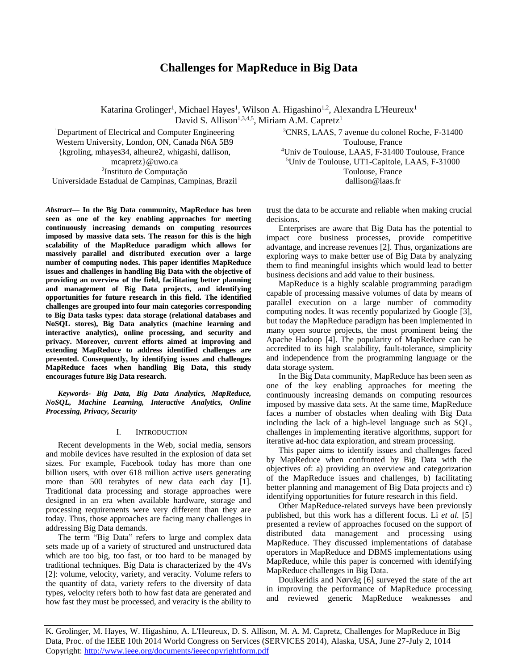# **Challenges for MapReduce in Big Data**

Katarina Grolinger<sup>1</sup>, Michael Hayes<sup>1</sup>, Wilson A. Higashino<sup>1,2</sup>, Alexandra L'Heureux<sup>1</sup> David S. Allison<sup>1,3,4,5</sup>, Miriam A.M. Capretz<sup>1</sup>

<sup>1</sup>Department of Electrical and Computer Engineering Western University, London, ON, Canada N6A 5B9 {kgroling, mhayes34, alheure2, whigashi, dallison, mcapretz}@uwo.ca 2 Instituto de Computação Universidade Estadual de Campinas, Campinas, Brazil

*Abstract***— In the Big Data community, MapReduce has been seen as one of the key enabling approaches for meeting continuously increasing demands on computing resources imposed by massive data sets. The reason for this is the high scalability of the MapReduce paradigm which allows for massively parallel and distributed execution over a large number of computing nodes. This paper identifies MapReduce issues and challenges in handling Big Data with the objective of providing an overview of the field, facilitating better planning and management of Big Data projects, and identifying opportunities for future research in this field. The identified challenges are grouped into four main categories corresponding to Big Data tasks types: data storage (relational databases and NoSQL stores), Big Data analytics (machine learning and interactive analytics), online processing, and security and privacy. Moreover, current efforts aimed at improving and extending MapReduce to address identified challenges are presented. Consequently, by identifying issues and challenges MapReduce faces when handling Big Data, this study encourages future Big Data research.**

*Keywords- Big Data, Big Data Analytics, MapReduce, NoSQL, Machine Learning, Interactive Analytics, Online Processing, Privacy, Security*

# I. INTRODUCTION

Recent developments in the Web, social media, sensors and mobile devices have resulted in the explosion of data set sizes. For example, Facebook today has more than one billion users, with over 618 million active users generating more than 500 terabytes of new data each day [1]. Traditional data processing and storage approaches were designed in an era when available hardware, storage and processing requirements were very different than they are today. Thus, those approaches are facing many challenges in addressing Big Data demands.

The term "Big Data" refers to large and complex data sets made up of a variety of structured and unstructured data which are too big, too fast, or too hard to be managed by traditional techniques. Big Data is characterized by the 4Vs [2]: volume, velocity, variety, and veracity. Volume refers to the quantity of data, variety refers to the diversity of data types, velocity refers both to how fast data are generated and how fast they must be processed, and veracity is the ability to

<sup>3</sup>CNRS, LAAS, 7 avenue du colonel Roche, F-31400 Toulouse, France <sup>4</sup>Univ de Toulouse, LAAS, F-31400 Toulouse, France <sup>5</sup>Univ de Toulouse, UT1-Capitole, LAAS, F-31000 Toulouse, France dallison@laas.fr

trust the data to be accurate and reliable when making crucial decisions.

Enterprises are aware that Big Data has the potential to impact core business processes, provide competitive advantage, and increase revenues [2]. Thus, organizations are exploring ways to make better use of Big Data by analyzing them to find meaningful insights which would lead to better business decisions and add value to their business.

MapReduce is a highly scalable programming paradigm capable of processing massive volumes of data by means of parallel execution on a large number of commodity computing nodes. It was recently popularized by Google [3], but today the MapReduce paradigm has been implemented in many open source projects, the most prominent being the Apache Hadoop [4]. The popularity of MapReduce can be accredited to its high scalability, fault-tolerance, simplicity and independence from the programming language or the data storage system.

In the Big Data community, MapReduce has been seen as one of the key enabling approaches for meeting the continuously increasing demands on computing resources imposed by massive data sets. At the same time, MapReduce faces a number of obstacles when dealing with Big Data including the lack of a high-level language such as SQL, challenges in implementing iterative algorithms, support for iterative ad-hoc data exploration, and stream processing.

This paper aims to identify issues and challenges faced by MapReduce when confronted by Big Data with the objectives of: a) providing an overview and categorization of the MapReduce issues and challenges, b) facilitating better planning and management of Big Data projects and c) identifying opportunities for future research in this field.

Other MapReduce-related surveys have been previously published, but this work has a different focus. Li *et al.* [5] presented a review of approaches focused on the support of distributed data management and processing using MapReduce. They discussed implementations of database operators in MapReduce and DBMS implementations using MapReduce, while this paper is concerned with identifying MapReduce challenges in Big Data.

Doulkeridis and Nørvåg [6] surveyed the state of the art in improving the performance of MapReduce processing and reviewed generic MapReduce weaknesses and

K. Grolinger, M. Hayes, W. Higashino, A. L'Heureux, D. S. Allison, M. A. M. Capretz, Challenges for MapReduce in Big Data, Proc. of the IEEE 10th 2014 World Congress on Services (SERVICES 2014), Alaska, USA, June 27-July 2, 1014 Copyright[: http://www.ieee.org/documents/ieeecopyrightform.pdf](http://www.ieee.org/documents/ieeecopyrightform.pdf)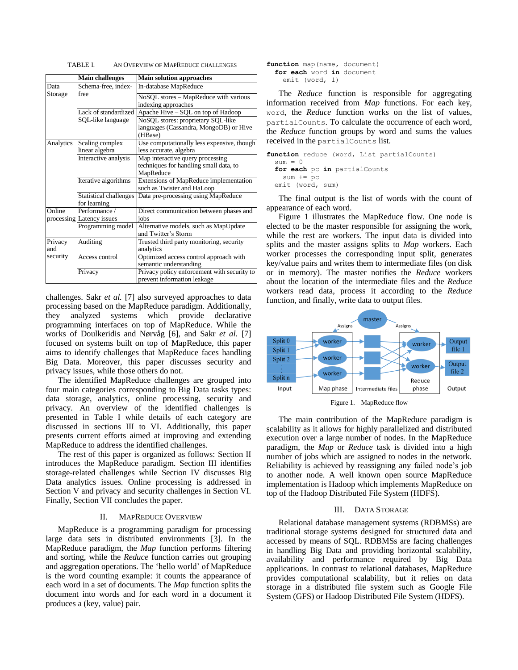| AN OVERVIEW OF MAPREDUCE CHALLENGES<br>TABLE I. |
|-------------------------------------------------|
|-------------------------------------------------|

|                 | <b>Main challenges</b>                 | <b>Main solution approaches</b>             |
|-----------------|----------------------------------------|---------------------------------------------|
| Data<br>Storage | Schema-free, index-                    | In-database MapReduce                       |
|                 | free                                   | NoSQL stores – MapReduce with various       |
|                 |                                        | indexing approaches                         |
|                 | Lack of standardized                   | Apache Hive – SQL on top of Hadoop          |
|                 | SQL-like language                      | NoSQL stores: proprietary SQL-like          |
|                 |                                        | languages (Cassandra, MongoDB) or Hive      |
|                 |                                        | (HBase)                                     |
| Analytics       | Scaling complex                        | Use computationally less expensive, though  |
|                 | linear algebra                         | less accurate, algebra                      |
|                 | Interactive analysis                   | Map interactive query processing            |
|                 |                                        | techniques for handling small data, to      |
|                 |                                        | MapReduce                                   |
|                 | Iterative algorithms                   | Extensions of MapReduce implementation      |
|                 |                                        | such as Twister and HaLoop                  |
|                 | Statistical challenges<br>for learning | Data pre-processing using MapReduce         |
| Online          | Performance /                          | Direct communication between phases and     |
|                 | processing Latency issues              | iobs                                        |
|                 | Programming model                      | Alternative models, such as MapUpdate       |
|                 |                                        | and Twitter's Storm                         |
| Privacy         | Auditing                               | Trusted third party monitoring, security    |
| and<br>security |                                        | analytics                                   |
|                 | Access control                         | Optimized access control approach with      |
|                 |                                        | semantic understanding                      |
|                 | Privacy                                | Privacy policy enforcement with security to |
|                 |                                        | prevent information leakage                 |

challenges. Sakr *et al.* [7] also surveyed approaches to data processing based on the MapReduce paradigm. Additionally, they analyzed systems which provide declarative programming interfaces on top of MapReduce. While the works of Doulkeridis and Nørvåg [6], and Sakr *et al.* [7] focused on systems built on top of MapReduce, this paper aims to identify challenges that MapReduce faces handling Big Data. Moreover, this paper discusses security and privacy issues, while those others do not.

The identified MapReduce challenges are grouped into four main categories corresponding to Big Data tasks types: data storage, analytics, online processing, security and privacy. An overview of the identified challenges is presented in Table I while details of each category are discussed in sections III to VI. Additionally, this paper presents current efforts aimed at improving and extending MapReduce to address the identified challenges.

The rest of this paper is organized as follows: Section II introduces the MapReduce paradigm. Section III identifies storage-related challenges while Section IV discusses Big Data analytics issues. Online processing is addressed in Section V and privacy and security challenges in Section VI. Finally, Section VII concludes the paper.

#### II. MAPREDUCE OVERVIEW

MapReduce is a programming paradigm for processing large data sets in distributed environments [3]. In the MapReduce paradigm, the *Map* function performs filtering and sorting, while the *Reduce* function carries out grouping and aggregation operations. The 'hello world' of MapReduce is the word counting example: it counts the appearance of each word in a set of documents. The *Map* function splits the document into words and for each word in a document it produces a (key, value) pair.

**function** map(name, document) **for each** word **in** document emit (word, 1)

The *Reduce* function is responsible for aggregating information received from *Map* functions. For each key, word, the *Reduce* function works on the list of values, partialCounts. To calculate the occurrence of each word, the *Reduce* function groups by word and sums the values received in the partialCounts list.

```
function reduce (word, List partialCounts)
sum = 0 for each pc in partialCounts
   sum += pc
 emit (word, sum)
```
The final output is the list of words with the count of appearance of each word.

Figure 1 illustrates the MapReduce flow. One node is elected to be the master responsible for assigning the work, while the rest are workers. The input data is divided into splits and the master assigns splits to *Map* workers. Each worker processes the corresponding input split, generates key/value pairs and writes them to intermediate files (on disk or in memory). The master notifies the *Reduce* workers about the location of the intermediate files and the *Reduce* workers read data, process it according to the *Reduce* function, and finally, write data to output files.



The main contribution of the MapReduce paradigm is scalability as it allows for highly parallelized and distributed execution over a large number of nodes. In the MapReduce paradigm, the *Map* or *Reduce* task is divided into a high number of jobs which are assigned to nodes in the network. Reliability is achieved by reassigning any failed node's job to another node. A well known open source MapReduce implementation is Hadoop which implements MapReduce on top of the Hadoop Distributed File System (HDFS).

#### III. DATA STORAGE

Relational database management systems (RDBMSs) are traditional storage systems designed for structured data and accessed by means of SQL. RDBMSs are facing challenges in handling Big Data and providing horizontal scalability, availability and performance required by Big Data applications. In contrast to relational databases, MapReduce provides computational scalability, but it relies on data storage in a distributed file system such as Google File System (GFS) or Hadoop Distributed File System (HDFS).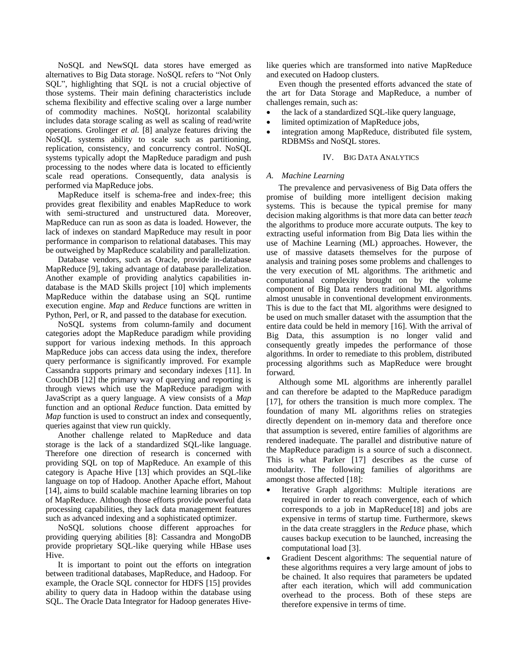NoSQL and NewSQL data stores have emerged as alternatives to Big Data storage. NoSQL refers to "Not Only SQL", highlighting that SQL is not a crucial objective of those systems. Their main defining characteristics include schema flexibility and effective scaling over a large number of commodity machines. NoSQL horizontal scalability includes data storage scaling as well as scaling of read/write operations. Grolinger *et al.* [8] analyze features driving the NoSQL systems ability to scale such as partitioning, replication, consistency, and concurrency control. NoSQL systems typically adopt the MapReduce paradigm and push processing to the nodes where data is located to efficiently scale read operations. Consequently, data analysis is performed via MapReduce jobs.

MapReduce itself is schema-free and index-free; this provides great flexibility and enables MapReduce to work with semi-structured and unstructured data. Moreover, MapReduce can run as soon as data is loaded. However, the lack of indexes on standard MapReduce may result in poor performance in comparison to relational databases. This may be outweighed by MapReduce scalability and parallelization.

Database vendors, such as Oracle, provide in-database MapReduce [9], taking advantage of database parallelization. Another example of providing analytics capabilities indatabase is the MAD Skills project [10] which implements MapReduce within the database using an SQL runtime execution engine. *Map* and *Reduce* functions are written in Python, Perl, or R, and passed to the database for execution.

NoSQL systems from column-family and document categories adopt the MapReduce paradigm while providing support for various indexing methods. In this approach MapReduce jobs can access data using the index, therefore query performance is significantly improved. For example Cassandra supports primary and secondary indexes [11]. In CouchDB [12] the primary way of querying and reporting is through views which use the MapReduce paradigm with JavaScript as a query language. A view consists of a *Map* function and an optional *Reduce* function. Data emitted by *Map* function is used to construct an index and consequently, queries against that view run quickly.

Another challenge related to MapReduce and data storage is the lack of a standardized SQL-like language. Therefore one direction of research is concerned with providing SQL on top of MapReduce. An example of this category is Apache Hive [13] which provides an SQL-like language on top of Hadoop. Another Apache effort, Mahout [14], aims to build scalable machine learning libraries on top of MapReduce. Although those efforts provide powerful data processing capabilities, they lack data management features such as advanced indexing and a sophisticated optimizer.

NoSQL solutions choose different approaches for providing querying abilities [8]: Cassandra and MongoDB provide proprietary SQL-like querying while HBase uses Hive.

It is important to point out the efforts on integration between traditional databases, MapReduce, and Hadoop. For example, the Oracle SQL connector for HDFS [15] provides ability to query data in Hadoop within the database using SQL. The Oracle Data Integrator for Hadoop generates Hivelike queries which are transformed into native MapReduce and executed on Hadoop clusters.

Even though the presented efforts advanced the state of the art for Data Storage and MapReduce, a number of challenges remain, such as:

- the lack of a standardized SQL-like query language,
- limited optimization of MapReduce jobs,
- integration among MapReduce, distributed file system, RDBMSs and NoSQL stores.

## IV. BIG DATA ANALYTICS

## *A. Machine Learning*

The prevalence and pervasiveness of Big Data offers the promise of building more intelligent decision making systems. This is because the typical premise for many decision making algorithms is that more data can better *teach* the algorithms to produce more accurate outputs. The key to extracting useful information from Big Data lies within the use of Machine Learning (ML) approaches. However, the use of massive datasets themselves for the purpose of analysis and training poses some problems and challenges to the very execution of ML algorithms. The arithmetic and computational complexity brought on by the volume component of Big Data renders traditional ML algorithms almost unusable in conventional development environments. This is due to the fact that ML algorithms were designed to be used on much smaller dataset with the assumption that the entire data could be held in memory [16]. With the arrival of Big Data, this assumption is no longer valid and consequently greatly impedes the performance of those algorithms. In order to remediate to this problem, distributed processing algorithms such as MapReduce were brought forward.

Although some ML algorithms are inherently parallel and can therefore be adapted to the MapReduce paradigm [17], for others the transition is much more complex. The foundation of many ML algorithms relies on strategies directly dependent on in-memory data and therefore once that assumption is severed, entire families of algorithms are rendered inadequate. The parallel and distributive nature of the MapReduce paradigm is a source of such a disconnect. This is what Parker [17] describes as the curse of modularity. The following families of algorithms are amongst those affected [18]:

- Iterative Graph algorithms: Multiple iterations are required in order to reach convergence, each of which corresponds to a job in MapReduce[18] and jobs are expensive in terms of startup time. Furthermore, skews in the data create stragglers in the *Reduce* phase, which causes backup execution to be launched, increasing the computational load [3].
- Gradient Descent algorithms: The sequential nature of these algorithms requires a very large amount of jobs to be chained. It also requires that parameters be updated after each iteration, which will add communication overhead to the process. Both of these steps are therefore expensive in terms of time.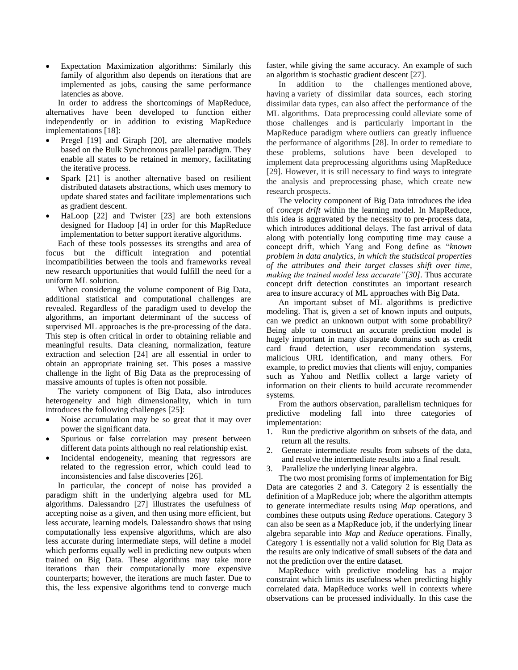Expectation Maximization algorithms: Similarly this family of algorithm also depends on iterations that are implemented as jobs, causing the same performance latencies as above.

In order to address the shortcomings of MapReduce, alternatives have been developed to function either independently or in addition to existing MapReduce implementations [18]:

- Pregel [19] and Giraph [20], are alternative models based on the Bulk Synchronous parallel paradigm. They enable all states to be retained in memory, facilitating the iterative process.
- Spark [21] is another alternative based on resilient distributed datasets abstractions, which uses memory to update shared states and facilitate implementations such as gradient descent.
- HaLoop [22] and Twister [23] are both extensions designed for Hadoop [4] in order for this MapReduce implementation to better support iterative algorithms.

Each of these tools possesses its strengths and area of focus but the difficult integration and potential incompatibilities between the tools and frameworks reveal new research opportunities that would fulfill the need for a uniform ML solution.

When considering the volume component of Big Data, additional statistical and computational challenges are revealed. Regardless of the paradigm used to develop the algorithms, an important determinant of the success of supervised ML approaches is the pre-processing of the data. This step is often critical in order to obtaining reliable and meaningful results. Data cleaning, normalization, feature extraction and selection [24] are all essential in order to obtain an appropriate training set. This poses a massive challenge in the light of Big Data as the preprocessing of massive amounts of tuples is often not possible.

The variety component of Big Data, also introduces heterogeneity and high dimensionality, which in turn introduces the following challenges [25]:

- Noise accumulation may be so great that it may over power the significant data.
- Spurious or false correlation may present between different data points although no real relationship exist.
- Incidental endogeneity, meaning that regressors are related to the regression error, which could lead to inconsistencies and false discoveries [26].

In particular, the concept of noise has provided a paradigm shift in the underlying algebra used for ML algorithms. Dalessandro [27] illustrates the usefulness of accepting noise as a given, and then using more efficient, but less accurate, learning models. Dalessandro shows that using computationally less expensive algorithms, which are also less accurate during intermediate steps, will define a model which performs equally well in predicting new outputs when trained on Big Data. These algorithms may take more iterations than their computationally more expensive counterparts; however, the iterations are much faster. Due to this, the less expensive algorithms tend to converge much

faster, while giving the same accuracy. An example of such an algorithm is stochastic gradient descent [27].

In addition to the challenges mentioned above, having a variety of dissimilar data sources, each storing dissimilar data types, can also affect the performance of the ML algorithms. Data preprocessing could alleviate some of those challenges and is particularly important in the MapReduce paradigm where outliers can greatly influence the performance of algorithms [28]. In order to remediate to these problems, solutions have been developed to implement data preprocessing algorithms using MapReduce [29]. However, it is still necessary to find ways to integrate the analysis and preprocessing phase, which create new research prospects.

The velocity component of Big Data introduces the idea of *concept drift* within the learning model. In MapReduce, this idea is aggravated by the necessity to pre-process data, which introduces additional delays. The fast arrival of data along with potentially long computing time may cause a concept drift, which Yang and Fong define as "*known problem in data analytics, in which the statistical properties of the attributes and their target classes shift over time, making the trained model less accurate"[30].* Thus accurate concept drift detection constitutes an important research area to insure accuracy of ML approaches with Big Data.

An important subset of ML algorithms is predictive modeling. That is, given a set of known inputs and outputs, can we predict an unknown output with some probability? Being able to construct an accurate prediction model is hugely important in many disparate domains such as credit card fraud detection, user recommendation systems, malicious URL identification, and many others. For example, to predict movies that clients will enjoy, companies such as Yahoo and Netflix collect a large variety of information on their clients to build accurate recommender systems.

From the authors observation, parallelism techniques for predictive modeling fall into three categories of implementation:

- 1. Run the predictive algorithm on subsets of the data, and return all the results.
- 2. Generate intermediate results from subsets of the data, and resolve the intermediate results into a final result.
- 3. Parallelize the underlying linear algebra.

The two most promising forms of implementation for Big Data are categories 2 and 3. Category 2 is essentially the definition of a MapReduce job; where the algorithm attempts to generate intermediate results using *Map* operations, and combines these outputs using *Reduce* operations. Category 3 can also be seen as a MapReduce job, if the underlying linear algebra separable into *Map* and *Reduce* operations. Finally, Category 1 is essentially not a valid solution for Big Data as the results are only indicative of small subsets of the data and not the prediction over the entire dataset.

MapReduce with predictive modeling has a major constraint which limits its usefulness when predicting highly correlated data. MapReduce works well in contexts where observations can be processed individually. In this case the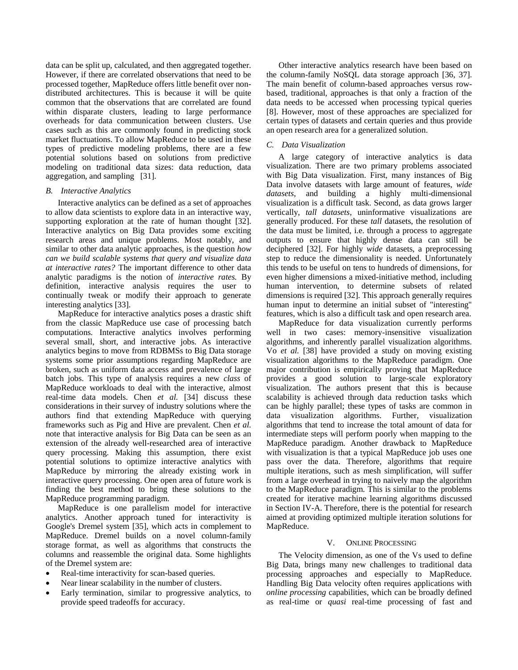data can be split up, calculated, and then aggregated together. However, if there are correlated observations that need to be processed together, MapReduce offers little benefit over nondistributed architectures. This is because it will be quite common that the observations that are correlated are found within disparate clusters, leading to large performance overheads for data communication between clusters. Use cases such as this are commonly found in predicting stock market fluctuations. To allow MapReduce to be used in these types of predictive modeling problems, there are a few potential solutions based on solutions from predictive modeling on traditional data sizes: data reduction, data aggregation, and sampling [31].

## *B. Interactive Analytics*

Interactive analytics can be defined as a set of approaches to allow data scientists to explore data in an interactive way, supporting exploration at the rate of human thought [32]. Interactive analytics on Big Data provides some exciting research areas and unique problems. Most notably, and similar to other data analytic approaches, is the question *how can we build scalable systems that query and visualize data at interactive rates?* The important difference to other data analytic paradigms is the notion of *interactive rates.* By definition, interactive analysis requires the user to continually tweak or modify their approach to generate interesting analytics [33].

MapReduce for interactive analytics poses a drastic shift from the classic MapReduce use case of processing batch computations. Interactive analytics involves performing several small, short, and interactive jobs. As interactive analytics begins to move from RDBMSs to Big Data storage systems some prior assumptions regarding MapReduce are broken, such as uniform data access and prevalence of large batch jobs. This type of analysis requires a new *class* of MapReduce workloads to deal with the interactive, almost real-time data models. Chen *et al.* [34] discuss these considerations in their survey of industry solutions where the authors find that extending MapReduce with querying frameworks such as Pig and Hive are prevalent. Chen *et al.* note that interactive analysis for Big Data can be seen as an extension of the already well-researched area of interactive query processing. Making this assumption, there exist potential solutions to optimize interactive analytics with MapReduce by mirroring the already existing work in interactive query processing. One open area of future work is finding the best method to bring these solutions to the MapReduce programming paradigm.

MapReduce is one parallelism model for interactive analytics. Another approach tuned for interactivity is Google's Dremel system [35], which acts in complement to MapReduce. Dremel builds on a novel column-family storage format, as well as algorithms that constructs the columns and reassemble the original data. Some highlights of the Dremel system are:

- Real-time interactivity for scan-based queries.
- Near linear scalability in the number of clusters.
- Early termination, similar to progressive analytics, to provide speed tradeoffs for accuracy.

Other interactive analytics research have been based on the column-family NoSQL data storage approach [36, 37]. The main benefit of column-based approaches versus rowbased, traditional, approaches is that only a fraction of the data needs to be accessed when processing typical queries [8]. However, most of these approaches are specialized for certain types of datasets and certain queries and thus provide an open research area for a generalized solution.

## *C. Data Visualization*

A large category of interactive analytics is data visualization. There are two primary problems associated with Big Data visualization. First, many instances of Big Data involve datasets with large amount of features, *wide datasets*, and building a highly multi-dimensional visualization is a difficult task. Second, as data grows larger vertically, *tall datasets*, uninformative visualizations are generally produced. For these *tall* datasets, the resolution of the data must be limited, i.e. through a process to aggregate outputs to ensure that highly dense data can still be deciphered [32]. For highly *wide* datasets, a preprocessing step to reduce the dimensionality is needed. Unfortunately this tends to be useful on tens to hundreds of dimensions, for even higher dimensions a mixed-initiative method, including human intervention, to determine subsets of related dimensions is required [32]. This approach generally requires human input to determine an initial subset of "interesting" features, which is also a difficult task and open research area.

MapReduce for data visualization currently performs well in two cases: memory-insensitive visualization algorithms, and inherently parallel visualization algorithms. Vo *et al.* [38] have provided a study on moving existing visualization algorithms to the MapReduce paradigm. One major contribution is empirically proving that MapReduce provides a good solution to large-scale exploratory visualization. The authors present that this is because scalability is achieved through data reduction tasks which can be highly parallel; these types of tasks are common in data visualization algorithms. Further, visualization algorithms that tend to increase the total amount of data for intermediate steps will perform poorly when mapping to the MapReduce paradigm. Another drawback to MapReduce with visualization is that a typical MapReduce job uses one pass over the data. Therefore, algorithms that require multiple iterations, such as mesh simplification, will suffer from a large overhead in trying to naively map the algorithm to the MapReduce paradigm. This is similar to the problems created for iterative machine learning algorithms discussed in Section IV-A. Therefore, there is the potential for research aimed at providing optimized multiple iteration solutions for MapReduce.

## V. ONLINE PROCESSING

The Velocity dimension, as one of the Vs used to define Big Data, brings many new challenges to traditional data processing approaches and especially to MapReduce. Handling Big Data velocity often requires applications with *online processing* capabilities, which can be broadly defined as real-time or *quasi* real-time processing of fast and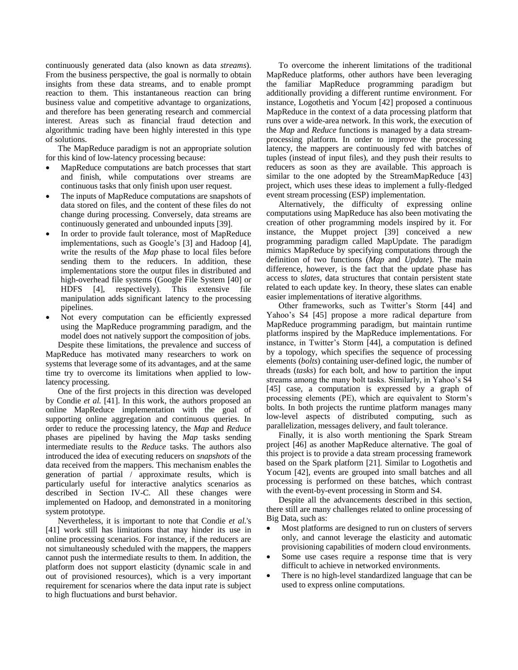continuously generated data (also known as data *streams*). From the business perspective, the goal is normally to obtain insights from these data streams, and to enable prompt reaction to them. This instantaneous reaction can bring business value and competitive advantage to organizations, and therefore has been generating research and commercial interest. Areas such as financial fraud detection and algorithmic trading have been highly interested in this type of solutions.

The MapReduce paradigm is not an appropriate solution for this kind of low-latency processing because:

- MapReduce computations are batch processes that start and finish, while computations over streams are continuous tasks that only finish upon user request.
- The inputs of MapReduce computations are snapshots of data stored on files, and the content of these files do not change during processing. Conversely, data streams are continuously generated and unbounded inputs [39].
- In order to provide fault tolerance, most of MapReduce implementations, such as Google's [3] and Hadoop [4], write the results of the *Map* phase to local files before sending them to the reducers. In addition, these implementations store the output files in distributed and high-overhead file systems (Google File System [40] or HDFS [4], respectively). This extensive file manipulation adds significant latency to the processing pipelines.
- Not every computation can be efficiently expressed using the MapReduce programming paradigm, and the model does not natively support the composition of jobs. Despite these limitations, the prevalence and success of

MapReduce has motivated many researchers to work on systems that leverage some of its advantages, and at the same time try to overcome its limitations when applied to lowlatency processing.

One of the first projects in this direction was developed by Condie *et al.* [41]. In this work, the authors proposed an online MapReduce implementation with the goal of supporting online aggregation and continuous queries. In order to reduce the processing latency, the *Map* and *Reduce* phases are pipelined by having the *Map* tasks sending intermediate results to the *Reduce* tasks. The authors also introduced the idea of executing reducers on *snapshots* of the data received from the mappers. This mechanism enables the generation of partial / approximate results, which is particularly useful for interactive analytics scenarios as described in Section IV-C. All these changes were implemented on Hadoop, and demonstrated in a monitoring system prototype.

Nevertheless, it is important to note that Condie *et al.*'s [41] work still has limitations that may hinder its use in online processing scenarios. For instance, if the reducers are not simultaneously scheduled with the mappers, the mappers cannot push the intermediate results to them. In addition, the platform does not support elasticity (dynamic scale in and out of provisioned resources), which is a very important requirement for scenarios where the data input rate is subject to high fluctuations and burst behavior.

To overcome the inherent limitations of the traditional MapReduce platforms, other authors have been leveraging the familiar MapReduce programming paradigm but additionally providing a different runtime environment. For instance, Logothetis and Yocum [42] proposed a continuous MapReduce in the context of a data processing platform that runs over a wide-area network. In this work, the execution of the *Map* and *Reduce* functions is managed by a data streamprocessing platform. In order to improve the processing latency, the mappers are continuously fed with batches of tuples (instead of input files), and they push their results to reducers as soon as they are available. This approach is similar to the one adopted by the StreamMapReduce [43] project, which uses these ideas to implement a fully-fledged event stream processing (ESP) implementation.

Alternatively, the difficulty of expressing online computations using MapReduce has also been motivating the creation of other programming models inspired by it. For instance, the Muppet project [39] conceived a new programming paradigm called MapUpdate. The paradigm mimics MapReduce by specifying computations through the definition of two functions (*Map* and *Update*). The main difference, however, is the fact that the update phase has access to *slates*, data structures that contain persistent state related to each update key. In theory, these slates can enable easier implementations of iterative algorithms.

Other frameworks, such as Twitter's Storm [44] and Yahoo's S4 [45] propose a more radical departure from MapReduce programming paradigm, but maintain runtime platforms inspired by the MapReduce implementations. For instance, in Twitter's Storm [44], a computation is defined by a topology, which specifies the sequence of processing elements (*bolts*) containing user-defined logic, the number of threads (*tasks*) for each bolt, and how to partition the input streams among the many bolt tasks. Similarly, in Yahoo's S4 [45] case, a computation is expressed by a graph of processing elements (PE), which are equivalent to Storm's bolts. In both projects the runtime platform manages many low-level aspects of distributed computing, such as parallelization, messages delivery, and fault tolerance.

Finally, it is also worth mentioning the Spark Stream project [46] as another MapReduce alternative. The goal of this project is to provide a data stream processing framework based on the Spark platform [21]. Similar to Logothetis and Yocum [42], events are grouped into small batches and all processing is performed on these batches, which contrast with the event-by-event processing in Storm and S4.

Despite all the advancements described in this section, there still are many challenges related to online processing of Big Data, such as:

- Most platforms are designed to run on clusters of servers only, and cannot leverage the elasticity and automatic provisioning capabilities of modern cloud environments.
- Some use cases require a response time that is very difficult to achieve in networked environments.
- There is no high-level standardized language that can be used to express online computations.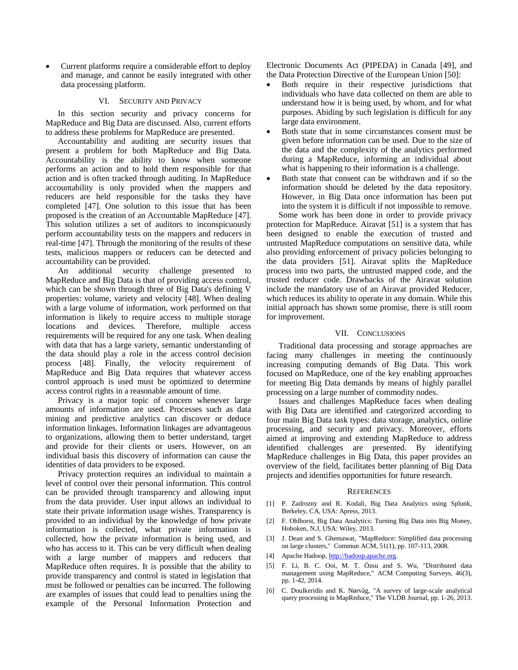Current platforms require a considerable effort to deploy and manage, and cannot be easily integrated with other data processing platform.

## VI. SECURITY AND PRIVACY

In this section security and privacy concerns for MapReduce and Big Data are discussed. Also, current efforts to address these problems for MapReduce are presented.

Accountability and auditing are security issues that present a problem for both MapReduce and Big Data. Accountability is the ability to know when someone performs an action and to hold them responsible for that action and is often tracked through auditing. In MapReduce accountability is only provided when the mappers and reducers are held responsible for the tasks they have completed [47]. One solution to this issue that has been proposed is the creation of an Accountable MapReduce [47]. This solution utilizes a set of auditors to inconspicuously perform accountability tests on the mappers and reducers in real-time [47]. Through the monitoring of the results of these tests, malicious mappers or reducers can be detected and accountability can be provided.

An additional security challenge presented to MapReduce and Big Data is that of providing access control, which can be shown through three of Big Data's defining V properties: volume, variety and velocity [48]. When dealing with a large volume of information, work performed on that information is likely to require access to multiple storage locations and devices. Therefore, multiple access requirements will be required for any one task. When dealing with data that has a large variety, semantic understanding of the data should play a role in the access control decision process [48]. Finally, the velocity requirement of MapReduce and Big Data requires that whatever access control approach is used must be optimized to determine access control rights in a reasonable amount of time.

Privacy is a major topic of concern whenever large amounts of information are used. Processes such as data mining and predictive analytics can discover or deduce information linkages. Information linkages are advantageous to organizations, allowing them to better understand, target and provide for their clients or users. However, on an individual basis this discovery of information can cause the identities of data providers to be exposed.

Privacy protection requires an individual to maintain a level of control over their personal information. This control can be provided through transparency and allowing input from the data provider. User input allows an individual to state their private information usage wishes. Transparency is provided to an individual by the knowledge of how private information is collected, what private information is collected, how the private information is being used, and who has access to it. This can be very difficult when dealing with a large number of mappers and reducers that MapReduce often requires. It is possible that the ability to provide transparency and control is stated in legislation that must be followed or penalties can be incurred. The following are examples of issues that could lead to penalties using the example of the Personal Information Protection and

Electronic Documents Act (PIPEDA) in Canada [49], and the Data Protection Directive of the European Union [50]:

- Both require in their respective jurisdictions that individuals who have data collected on them are able to understand how it is being used, by whom, and for what purposes. Abiding by such legislation is difficult for any large data environment.
- Both state that in some circumstances consent must be given before information can be used. Due to the size of the data and the complexity of the analytics performed during a MapReduce, informing an individual about what is happening to their information is a challenge.
- Both state that consent can be withdrawn and if so the information should be deleted by the data repository. However, in Big Data once information has been put into the system it is difficult if not impossible to remove. Some work has been done in order to provide privacy protection for MapReduce. Airavat [51] is a system that has been designed to enable the execution of trusted and untrusted MapReduce computations on sensitive data, while also providing enforcement of privacy policies belonging to the data providers [51]. Airavat splits the MapReduce process into two parts, the untrusted mapped code, and the trusted reducer code. Drawbacks of the Airavat solution include the mandatory use of an Airavat provided Reducer, which reduces its ability to operate in any domain. While this initial approach has shown some promise, there is still room for improvement.

#### VII. CONCLUSIONS

Traditional data processing and storage approaches are facing many challenges in meeting the continuously increasing computing demands of Big Data. This work focused on MapReduce, one of the key enabling approaches for meeting Big Data demands by means of highly parallel processing on a large number of commodity nodes.

Issues and challenges MapReduce faces when dealing with Big Data are identified and categorized according to four main Big Data task types: data storage, analytics, online processing, and security and privacy. Moreover, efforts aimed at improving and extending MapReduce to address identified challenges are presented. By identifying MapReduce challenges in Big Data, this paper provides an overview of the field, facilitates better planning of Big Data projects and identifies opportunities for future research.

#### **REFERENCES**

- [1] P. Zadrozny and R. Kodali, Big Data Analytics using Splunk, Berkeley, CA, USA: Apress, 2013.
- [2] F. Ohlhorst, Big Data Analytics: Turning Big Data into Big Money, Hoboken, N.J, USA: Wiley, 2013.
- [3] J. Dean and S. Ghemawat, "MapReduce: Simplified data processing on large clusters," Commun ACM, 51(1), pp. 107-113, 2008.
- [4] Apache Hadoop, [http://hadoop.apache.org.](http://hadoop.apache.org/)
- [5] F. Li, B. C. Ooi, M. T. Özsu and S. Wu, "Distributed data management using MapReduce," ACM Computing Surveys, 46(3), pp. 1-42, 2014.
- [6] C. Doulkeridis and K. Nørvåg, "A survey of large-scale analytical query processing in MapReduce," The VLDB Journal, pp. 1-26, 2013.